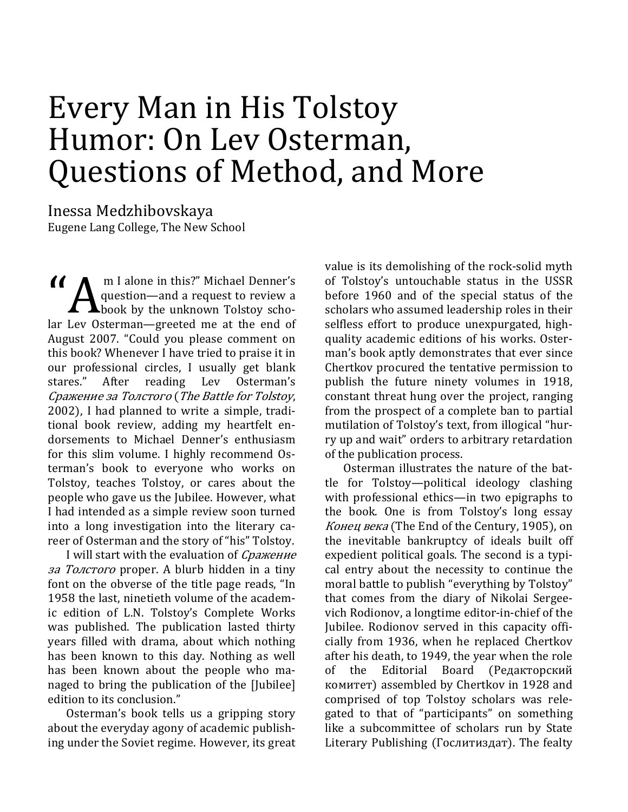# Every Man in His Tolstoy Humor: On Lev Osterman, Questions of Method, and More

Inessa Medzhibovskaya Eugene Lang College, The New School

 m I alone in this?" Michael Denner's  $\alpha$ question—and a request to review a **A**book by the unknown Tolstoy scholar Lev Osterman—greeted me at the end of August 2007. "Could you please comment on this book? Whenever I have tried to praise it in our professional circles, I usually get blank stares." After reading Lev Osterman's Сражение за Толстого (The Battle for Tolstoy, 2002), I had planned to write a simple, traditional book review, adding my heartfelt endorsements to Michael Denner's enthusiasm for this slim volume. I highly recommend Osterman's book to everyone who works on Tolstoy, teaches Tolstoy, or cares about the people who gave us the Jubilee. However, what I had intended as a simple review soon turned into a long investigation into the literary career of Osterman and the story of "his" Tolstoy.

I will start with the evaluation of *Сражение* за Толстого proper. A blurb hidden in a tiny font on the obverse of the title page reads, "In 1958 the last, ninetieth volume of the academic edition of L.N. Tolstoy's Complete Works was published. The publication lasted thirty years filled with drama, about which nothing has been known to this day. Nothing as well has been known about the people who managed to bring the publication of the [Jubilee] edition to its conclusion."

Osterman's book tells us a gripping story about the everyday agony of academic publishing under the Soviet regime. However, its great value is its demolishing of the rock-solid myth of Tolstoy's untouchable status in the USSR before 1960 and of the special status of the scholars who assumed leadership roles in their selfless effort to produce unexpurgated, highquality academic editions of his works. Osterman's book aptly demonstrates that ever since Chertkov procured the tentative permission to publish the future ninety volumes in 1918, constant threat hung over the project, ranging from the prospect of a complete ban to partial mutilation of Tolstoy's text, from illogical "hurry up and wait" orders to arbitrary retardation of the publication process.

Osterman illustrates the nature of the battle for Tolstoy—political ideology clashing with professional ethics—in two epigraphs to the book. One is from Tolstoy's long essay Конец века (The End of the Century, 1905), on the inevitable bankruptcy of ideals built off expedient political goals. The second is a typical entry about the necessity to continue the moral battle to publish "everything by Tolstoy" that comes from the diary of Nikolai Sergeevich Rodionov, a longtime editor-in-chief of the Jubilee. Rodionov served in this capacity officially from 1936, when he replaced Chertkov after his death, to 1949, the year when the role of the Editorial Board (Редакторский комитет) assembled by Chertkov in 1928 and comprised of top Tolstoy scholars was relegated to that of "participants" on something like a subcommittee of scholars run by State Literary Publishing (Гослитиздат). The fealty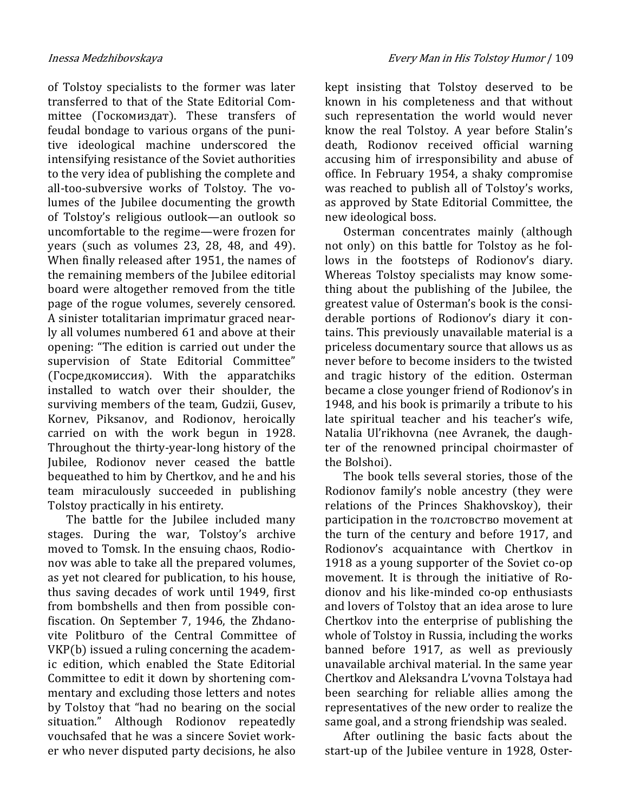of Tolstoy specialists to the former was later transferred to that of the State Editorial Committee (Госкомиздат). These transfers of feudal bondage to various organs of the punitive ideological machine underscored the intensifying resistance of the Soviet authorities to the very idea of publishing the complete and all-too-subversive works of Tolstoy. The volumes of the Jubilee documenting the growth of Tolstoy's religious outlook—an outlook so uncomfortable to the regime—were frozen for years (such as volumes 23, 28, 48, and 49). When finally released after 1951, the names of the remaining members of the Jubilee editorial board were altogether removed from the title page of the rogue volumes, severely censored. A sinister totalitarian imprimatur graced nearly all volumes numbered 61 and above at their opening: "The edition is carried out under the supervision of State Editorial Committee" (Госредкомиссия). With the apparatchiks installed to watch over their shoulder, the surviving members of the team, Gudzii, Gusev, Kornev, Piksanov, and Rodionov, heroically carried on with the work begun in 1928. Throughout the thirty-year-long history of the Jubilee, Rodionov never ceased the battle bequeathed to him by Chertkov, and he and his team miraculously succeeded in publishing Tolstoy practically in his entirety.

The battle for the Jubilee included many stages. During the war, Tolstoy's archive moved to Tomsk. In the ensuing chaos, Rodionov was able to take all the prepared volumes, as yet not cleared for publication, to his house, thus saving decades of work until 1949, first from bombshells and then from possible confiscation. On September 7, 1946, the Zhdanovite Politburo of the Central Committee of VKP(b) issued a ruling concerning the academic edition, which enabled the State Editorial Committee to edit it down by shortening commentary and excluding those letters and notes by Tolstoy that "had no bearing on the social situation." Although Rodionov repeatedly vouchsafed that he was a sincere Soviet worker who never disputed party decisions, he also

kept insisting that Tolstoy deserved to be known in his completeness and that without such representation the world would never know the real Tolstoy. A year before Stalin's death, Rodionov received official warning accusing him of irresponsibility and abuse of office. In February 1954, a shaky compromise was reached to publish all of Tolstoy's works, as approved by State Editorial Committee, the new ideological boss.

Osterman concentrates mainly (although not only) on this battle for Tolstoy as he follows in the footsteps of Rodionov's diary. Whereas Tolstoy specialists may know something about the publishing of the Jubilee, the greatest value of Osterman's book is the considerable portions of Rodionov's diary it contains. This previously unavailable material is a priceless documentary source that allows us as never before to become insiders to the twisted and tragic history of the edition. Osterman became a close younger friend of Rodionov's in 1948, and his book is primarily a tribute to his late spiritual teacher and his teacher's wife, Natalia Ul'rikhovna (nee Avranek, the daughter of the renowned principal choirmaster of the Bolshoi).

The book tells several stories, those of the Rodionov family's noble ancestry (they were relations of the Princes Shakhovskoy), their participation in the толстовство movement at the turn of the century and before 1917, and Rodionov's acquaintance with Chertkov in 1918 as a young supporter of the Soviet co-op movement. It is through the initiative of Rodionov and his like-minded co-op enthusiasts and lovers of Tolstoy that an idea arose to lure Chertkov into the enterprise of publishing the whole of Tolstoy in Russia, including the works banned before 1917, as well as previously unavailable archival material. In the same year Chertkov and Aleksandra L'vovna Tolstaya had been searching for reliable allies among the representatives of the new order to realize the same goal, and a strong friendship was sealed.

After outlining the basic facts about the start-up of the Jubilee venture in 1928, Oster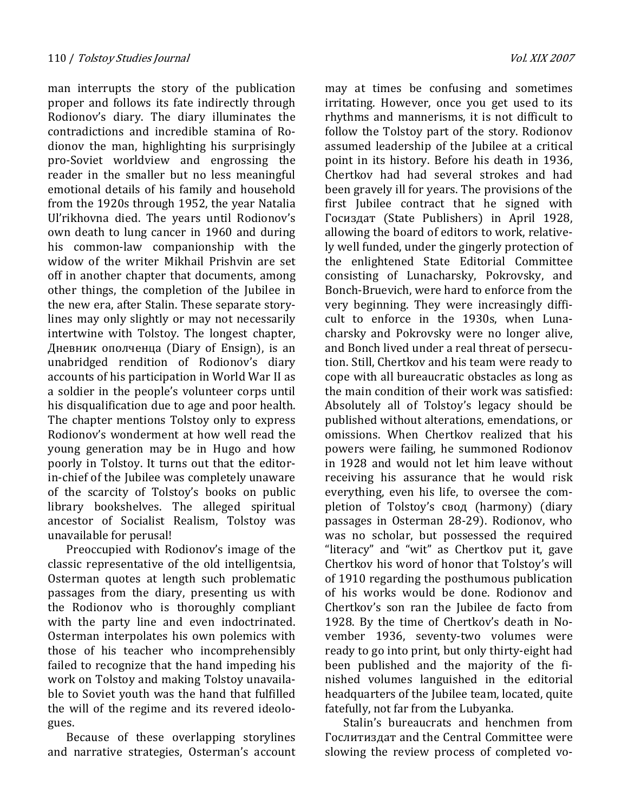man interrupts the story of the publication proper and follows its fate indirectly through Rodionov's diary. The diary illuminates the contradictions and incredible stamina of Rodionov the man, highlighting his surprisingly pro-Soviet worldview and engrossing the reader in the smaller but no less meaningful emotional details of his family and household from the 1920s through 1952, the year Natalia Ul'rikhovna died. The years until Rodionov's own death to lung cancer in 1960 and during his common-law companionship with the widow of the writer Mikhail Prishvin are set off in another chapter that documents, among other things, the completion of the Jubilee in the new era, after Stalin. These separate storylines may only slightly or may not necessarily intertwine with Tolstoy. The longest chapter, Дневник ополченца (Diary of Ensign), is an unabridged rendition of Rodionov's diary accounts of his participation in World War II as a soldier in the people's volunteer corps until his disqualification due to age and poor health. The chapter mentions Tolstoy only to express Rodionov's wonderment at how well read the young generation may be in Hugo and how poorly in Tolstoy. It turns out that the editorin-chief of the Jubilee was completely unaware of the scarcity of Tolstoy's books on public library bookshelves. The alleged spiritual ancestor of Socialist Realism, Tolstoy was unavailable for perusal!

Preoccupied with Rodionov's image of the classic representative of the old intelligentsia, Osterman quotes at length such problematic passages from the diary, presenting us with the Rodionov who is thoroughly compliant with the party line and even indoctrinated. Osterman interpolates his own polemics with those of his teacher who incomprehensibly failed to recognize that the hand impeding his work on Tolstoy and making Tolstoy unavailable to Soviet youth was the hand that fulfilled the will of the regime and its revered ideologues.

Because of these overlapping storylines and narrative strategies, Osterman's account

may at times be confusing and sometimes irritating. However, once you get used to its rhythms and mannerisms, it is not difficult to follow the Tolstoy part of the story. Rodionov assumed leadership of the Jubilee at a critical point in its history. Before his death in 1936, Chertkov had had several strokes and had been gravely ill for years. The provisions of the first Jubilee contract that he signed with Госиздат (State Publishers) in April 1928, allowing the board of editors to work, relatively well funded, under the gingerly protection of the enlightened State Editorial Committee consisting of Lunacharsky, Pokrovsky, and Bonch-Bruevich, were hard to enforce from the very beginning. They were increasingly difficult to enforce in the 1930s, when Lunacharsky and Pokrovsky were no longer alive, and Bonch lived under a real threat of persecution. Still, Chertkov and his team were ready to cope with all bureaucratic obstacles as long as the main condition of their work was satisfied: Absolutely all of Tolstoy's legacy should be published without alterations, emendations, or omissions. When Chertkov realized that his powers were failing, he summoned Rodionov in 1928 and would not let him leave without receiving his assurance that he would risk everything, even his life, to oversee the completion of Tolstoy's свод (harmony) (diary passages in Osterman 28-29). Rodionov, who was no scholar, but possessed the required "literacy" and "wit" as Chertkov put it, gave Chertkov his word of honor that Tolstoy's will of 1910 regarding the posthumous publication of his works would be done. Rodionov and Chertkov's son ran the Jubilee de facto from 1928. By the time of Chertkov's death in November 1936, seventy-two volumes were ready to go into print, but only thirty-eight had been published and the majority of the finished volumes languished in the editorial headquarters of the Jubilee team, located, quite fatefully, not far from the Lubyanka.

Stalin's bureaucrats and henchmen from Гослитиздат and the Central Committee were slowing the review process of completed vo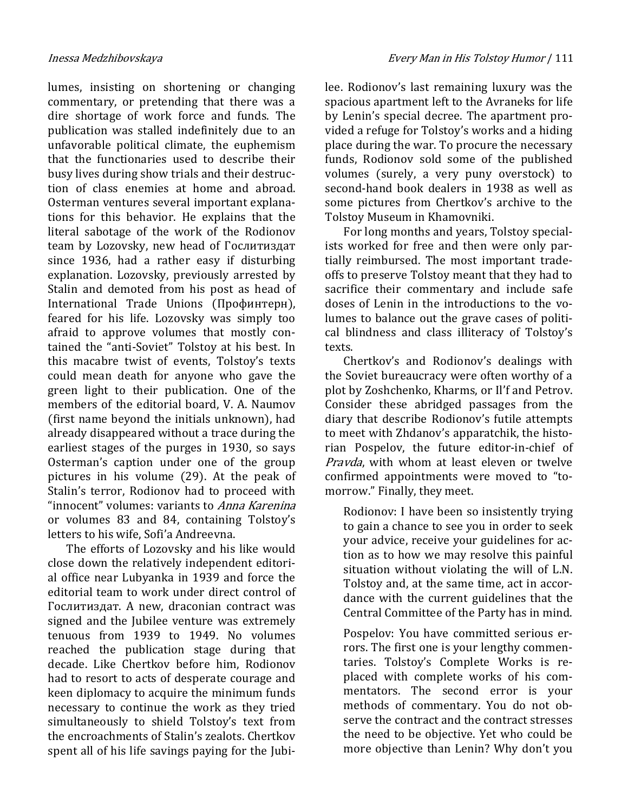lumes, insisting on shortening or changing commentary, or pretending that there was a dire shortage of work force and funds. The publication was stalled indefinitely due to an unfavorable political climate, the euphemism that the functionaries used to describe their busy lives during show trials and their destruction of class enemies at home and abroad. Osterman ventures several important explanations for this behavior. He explains that the literal sabotage of the work of the Rodionov team by Lozovsky, new head of Гослитиздат since 1936, had a rather easy if disturbing explanation. Lozovsky, previously arrested by Stalin and demoted from his post as head of International Trade Unions (Профинтерн), feared for his life. Lozovsky was simply too afraid to approve volumes that mostly contained the "anti-Soviet" Tolstoy at his best. In this macabre twist of events, Tolstoy's texts could mean death for anyone who gave the green light to their publication. One of the members of the editorial board, V. A. Naumov (first name beyond the initials unknown), had already disappeared without a trace during the earliest stages of the purges in 1930, so says Osterman's caption under one of the group pictures in his volume (29). At the peak of Stalin's terror, Rodionov had to proceed with "innocent" volumes: variants to Anna Karenina or volumes 83 and 84, containing Tolstoy's letters to his wife, Sofi'a Andreevna.

The efforts of Lozovsky and his like would close down the relatively independent editorial office near Lubyanka in 1939 and force the editorial team to work under direct control of Гослитиздат. A new, draconian contract was signed and the Jubilee venture was extremely tenuous from 1939 to 1949. No volumes reached the publication stage during that decade. Like Chertkov before him, Rodionov had to resort to acts of desperate courage and keen diplomacy to acquire the minimum funds necessary to continue the work as they tried simultaneously to shield Tolstoy's text from the encroachments of Stalin's zealots. Chertkov spent all of his life savings paying for the Jubi-

lee. Rodionov's last remaining luxury was the spacious apartment left to the Avraneks for life by Lenin's special decree. The apartment provided a refuge for Tolstoy's works and a hiding place during the war. To procure the necessary funds, Rodionov sold some of the published volumes (surely, a very puny overstock) to second-hand book dealers in 1938 as well as some pictures from Chertkov's archive to the Tolstoy Museum in Khamovniki.

For long months and years, Tolstoy specialists worked for free and then were only partially reimbursed. The most important tradeoffs to preserve Tolstoy meant that they had to sacrifice their commentary and include safe doses of Lenin in the introductions to the volumes to balance out the grave cases of political blindness and class illiteracy of Tolstoy's texts.

Chertkov's and Rodionov's dealings with the Soviet bureaucracy were often worthy of a plot by Zoshchenko, Kharms, or Il'f and Petrov. Consider these abridged passages from the diary that describe Rodionov's futile attempts to meet with Zhdanov's apparatchik, the historian Pospelov, the future editor-in-chief of Pravda, with whom at least eleven or twelve confirmed appointments were moved to "tomorrow." Finally, they meet.

Rodionov: I have been so insistently trying to gain a chance to see you in order to seek your advice, receive your guidelines for action as to how we may resolve this painful situation without violating the will of L.N. Tolstoy and, at the same time, act in accordance with the current guidelines that the Central Committee of the Party has in mind.

Pospelov: You have committed serious errors. The first one is your lengthy commentaries. Tolstoy's Complete Works is replaced with complete works of his commentators. The second error is your methods of commentary. You do not observe the contract and the contract stresses the need to be objective. Yet who could be more objective than Lenin? Why don't you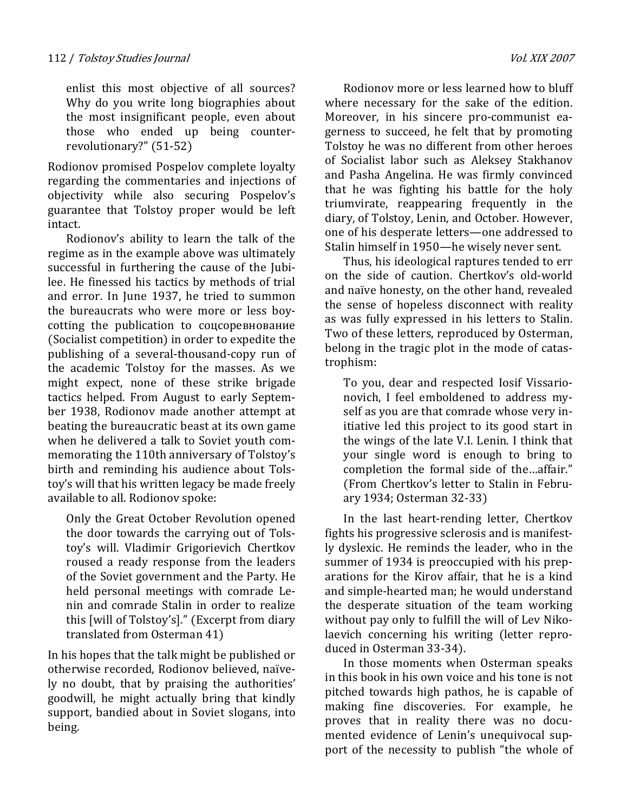enlist this most objective of all sources? Why do you write long biographies about the most insignificant people, even about those who ended up being counterrevolutionary?" (51-52)

Rodionov promised Pospelov complete loyalty regarding the commentaries and injections of objectivity while also securing Pospelov's guarantee that Tolstoy proper would be left intact.

Rodionov's ability to learn the talk of the regime as in the example above was ultimately successful in furthering the cause of the Jubilee. He finessed his tactics by methods of trial and error. In June 1937, he tried to summon the bureaucrats who were more or less boycotting the publication to соцсоревнование (Socialist competition) in order to expedite the publishing of a several-thousand-copy run of the academic Tolstoy for the masses. As we might expect, none of these strike brigade tactics helped. From August to early September 1938, Rodionov made another attempt at beating the bureaucratic beast at its own game when he delivered a talk to Soviet youth commemorating the 110th anniversary of Tolstoy's birth and reminding his audience about Tolstoy's will that his written legacy be made freely available to all. Rodionov spoke:

Only the Great October Revolution opened the door towards the carrying out of Tolstoy's will. Vladimir Grigorievich Chertkov roused a ready response from the leaders of the Soviet government and the Party. He held personal meetings with comrade Lenin and comrade Stalin in order to realize this [will of Tolstoy's]." (Excerpt from diary translated from Osterman 41)

In his hopes that the talk might be published or otherwise recorded, Rodionov believed, naïvely no doubt, that by praising the authorities' goodwill, he might actually bring that kindly support, bandied about in Soviet slogans, into being.

Rodionov more or less learned how to bluff where necessary for the sake of the edition. Moreover, in his sincere pro-communist eagerness to succeed, he felt that by promoting Tolstoy he was no different from other heroes of Socialist labor such as Aleksey Stakhanov and Pasha Angelina. He was firmly convinced that he was fighting his battle for the holy triumvirate, reappearing frequently in the diary, of Tolstoy, Lenin, and October. However, one of his desperate letters—one addressed to Stalin himself in 1950—he wisely never sent.

Thus, his ideological raptures tended to err on the side of caution. Chertkov's old-world and naïve honesty, on the other hand, revealed the sense of hopeless disconnect with reality as was fully expressed in his letters to Stalin. Two of these letters, reproduced by Osterman, belong in the tragic plot in the mode of catastrophism:

To you, dear and respected Iosif Vissarionovich, I feel emboldened to address myself as you are that comrade whose very initiative led this project to its good start in the wings of the late V.I. Lenin. I think that your single word is enough to bring to completion the formal side of the…affair." (From Chertkov's letter to Stalin in February 1934; Osterman 32-33)

In the last heart-rending letter, Chertkov fights his progressive sclerosis and is manifestly dyslexic. He reminds the leader, who in the summer of 1934 is preoccupied with his preparations for the Kirov affair, that he is a kind and simple-hearted man; he would understand the desperate situation of the team working without pay only to fulfill the will of Lev Nikolaevich concerning his writing (letter reproduced in Osterman 33-34).

In those moments when Osterman speaks in this book in his own voice and his tone is not pitched towards high pathos, he is capable of making fine discoveries. For example, he proves that in reality there was no documented evidence of Lenin's unequivocal support of the necessity to publish "the whole of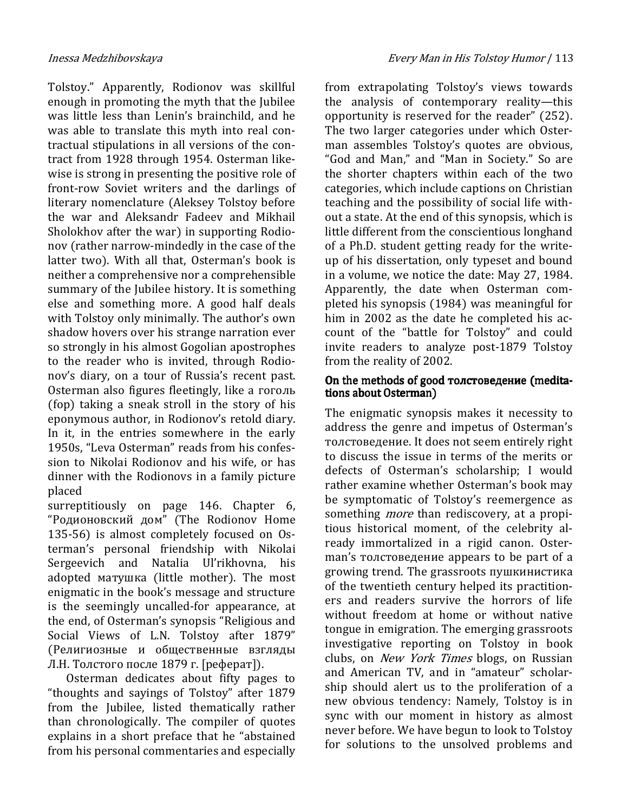Tolstoy." Apparently, Rodionov was skillful enough in promoting the myth that the Jubilee was little less than Lenin's brainchild, and he was able to translate this myth into real contractual stipulations in all versions of the contract from 1928 through 1954. Osterman likewise is strong in presenting the positive role of front-row Soviet writers and the darlings of literary nomenclature (Aleksey Tolstoy before the war and Aleksandr Fadeev and Mikhail Sholokhov after the war) in supporting Rodionov (rather narrow-mindedly in the case of the latter two). With all that, Osterman's book is neither a comprehensive nor a comprehensible summary of the Jubilee history. It is something else and something more. A good half deals with Tolstoy only minimally. The author's own shadow hovers over his strange narration ever so strongly in his almost Gogolian apostrophes to the reader who is invited, through Rodionov's diary, on a tour of Russia's recent past. Osterman also figures fleetingly, like a гоголь (fop) taking a sneak stroll in the story of his eponymous author, in Rodionov's retold diary. In it, in the entries somewhere in the early 1950s, "Leva Osterman" reads from his confession to Nikolai Rodionov and his wife, or has dinner with the Rodionovs in a family picture placed

surreptitiously on page 146. Chapter 6, "Родионовский дом" (The Rodionov Home 135-56) is almost completely focused on Osterman's personal friendship with Nikolai Sergeevich and Natalia Ul'rikhovna, his adopted матушка (little mother). The most enigmatic in the book's message and structure is the seemingly uncalled-for appearance, at the end, of Osterman's synopsis "Religious and Social Views of L.N. Tolstoy after 1879" (Религиозные и общественные взгляды Л.Н. Толстого после 1879 г. [реферат]).

Osterman dedicates about fifty pages to "thoughts and sayings of Tolstoy" after 1879 from the Jubilee, listed thematically rather than chronologically. The compiler of quotes explains in a short preface that he "abstained from his personal commentaries and especially

from extrapolating Tolstoy's views towards the analysis of contemporary reality—this opportunity is reserved for the reader" (252). The two larger categories under which Osterman assembles Tolstoy's quotes are obvious, "God and Man," and "Man in Society." So are the shorter chapters within each of the two categories, which include captions on Christian teaching and the possibility of social life without a state. At the end of this synopsis, which is little different from the conscientious longhand of a Ph.D. student getting ready for the writeup of his dissertation, only typeset and bound in a volume, we notice the date: May 27, 1984. Apparently, the date when Osterman completed his synopsis (1984) was meaningful for him in 2002 as the date he completed his account of the "battle for Tolstoy" and could invite readers to analyze post-1879 Tolstoy from the reality of 2002.

#### On the methods of good толстоведение (meditations about Osterman)

The enigmatic synopsis makes it necessity to address the genre and impetus of Osterman's толстоведение. It does not seem entirely right to discuss the issue in terms of the merits or defects of Osterman's scholarship; I would rather examine whether Osterman's book may be symptomatic of Tolstoy's reemergence as something *more* than rediscovery, at a propitious historical moment, of the celebrity already immortalized in a rigid canon. Osterman's толстоведение appears to be part of a growing trend. The grassroots пушкинистика of the twentieth century helped its practitioners and readers survive the horrors of life without freedom at home or without native tongue in emigration. The emerging grassroots investigative reporting on Tolstoy in book clubs, on New York Times blogs, on Russian and American TV, and in "amateur" scholarship should alert us to the proliferation of a new obvious tendency: Namely, Tolstoy is in sync with our moment in history as almost never before. We have begun to look to Tolstoy for solutions to the unsolved problems and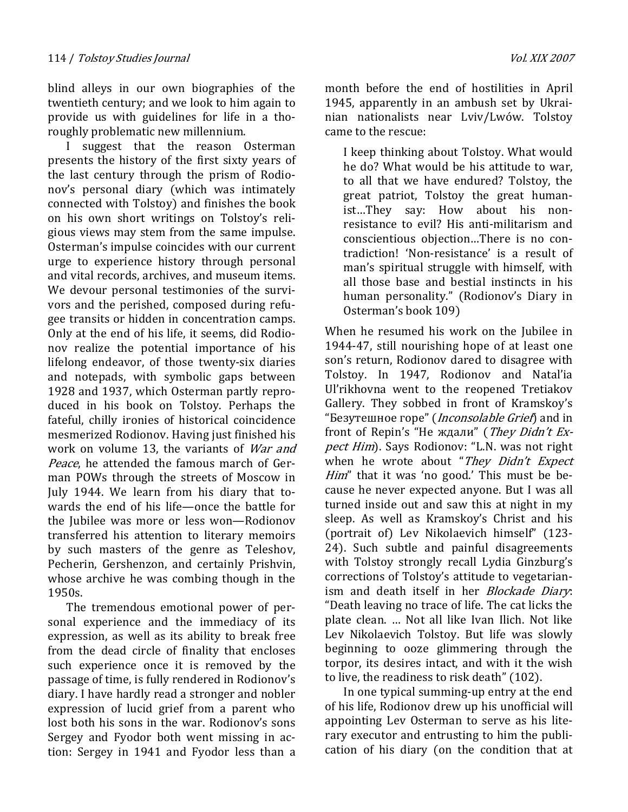blind alleys in our own biographies of the twentieth century; and we look to him again to provide us with guidelines for life in a thoroughly problematic new millennium.

I suggest that the reason Osterman presents the history of the first sixty years of the last century through the prism of Rodionov's personal diary (which was intimately connected with Tolstoy) and finishes the book on his own short writings on Tolstoy's religious views may stem from the same impulse. Osterman's impulse coincides with our current urge to experience history through personal and vital records, archives, and museum items. We devour personal testimonies of the survivors and the perished, composed during refugee transits or hidden in concentration camps. Only at the end of his life, it seems, did Rodionov realize the potential importance of his lifelong endeavor, of those twenty-six diaries and notepads, with symbolic gaps between 1928 and 1937, which Osterman partly reproduced in his book on Tolstoy. Perhaps the fateful, chilly ironies of historical coincidence mesmerized Rodionov. Having just finished his work on volume 13, the variants of *War and* Peace, he attended the famous march of German POWs through the streets of Moscow in July 1944. We learn from his diary that towards the end of his life—once the battle for the Jubilee was more or less won—Rodionov transferred his attention to literary memoirs by such masters of the genre as Teleshov, Pecherin, Gershenzon, and certainly Prishvin, whose archive he was combing though in the 1950s.

The tremendous emotional power of personal experience and the immediacy of its expression, as well as its ability to break free from the dead circle of finality that encloses such experience once it is removed by the passage of time, is fully rendered in Rodionov's diary. I have hardly read a stronger and nobler expression of lucid grief from a parent who lost both his sons in the war. Rodionov's sons Sergey and Fyodor both went missing in action: Sergey in 1941 and Fyodor less than a month before the end of hostilities in April 1945, apparently in an ambush set by Ukrainian nationalists near Lviv/Lwów. Tolstoy came to the rescue:

I keep thinking about Tolstoy. What would he do? What would be his attitude to war, to all that we have endured? Tolstoy, the great patriot, Tolstoy the great humanist…They say: How about his nonresistance to evil? His anti-militarism and conscientious objection…There is no contradiction! 'Non-resistance' is a result of man's spiritual struggle with himself, with all those base and bestial instincts in his human personality." (Rodionov's Diary in Osterman's book 109)

When he resumed his work on the Jubilee in 1944-47, still nourishing hope of at least one son's return, Rodionov dared to disagree with Tolstoy. In 1947, Rodionov and Natal'ia Ul'rikhovna went to the reopened Tretiakov Gallery. They sobbed in front of Kramskoy's "Безутешное горе" (Inconsolable Grief) and in front of Repin's "Не ждали" (They Didn't Expect Him). Says Rodionov: "L.N. was not right when he wrote about "They Didn't Expect Him" that it was 'no good.' This must be because he never expected anyone. But I was all turned inside out and saw this at night in my sleep. As well as Kramskoy's Christ and his (portrait of) Lev Nikolaevich himself" (123- 24). Such subtle and painful disagreements with Tolstoy strongly recall Lydia Ginzburg's corrections of Tolstoy's attitude to vegetarianism and death itself in her *Blockade Diary*: "Death leaving no trace of life. The cat licks the plate clean. … Not all like Ivan Ilich. Not like Lev Nikolaevich Tolstoy. But life was slowly beginning to ooze glimmering through the torpor, its desires intact, and with it the wish to live, the readiness to risk death" (102).

In one typical summing-up entry at the end of his life, Rodionov drew up his unofficial will appointing Lev Osterman to serve as his literary executor and entrusting to him the publication of his diary (on the condition that at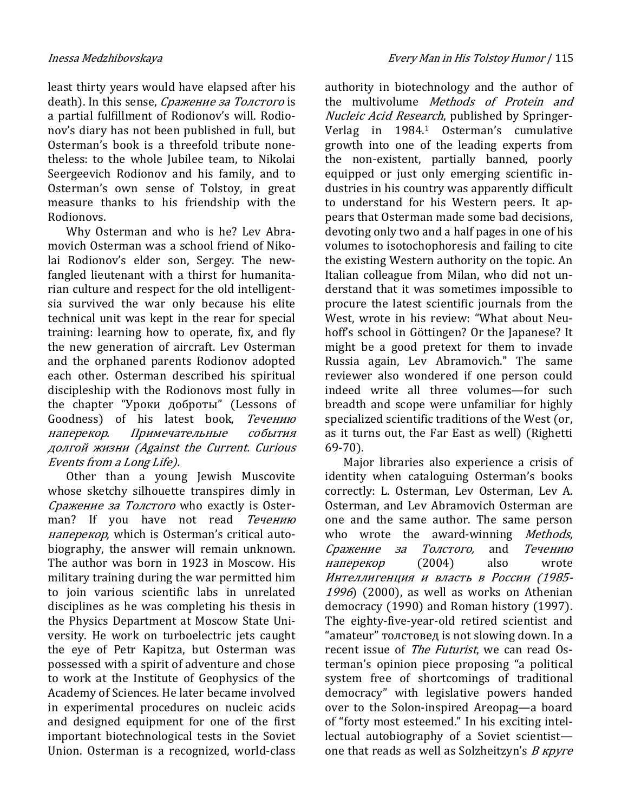least thirty years would have elapsed after his death). In this sense, Сражение за Толстого is a partial fulfillment of Rodionov's will. Rodionov's diary has not been published in full, but Osterman's book is a threefold tribute nonetheless: to the whole Jubilee team, to Nikolai Seergeevich Rodionov and his family, and to Osterman's own sense of Tolstoy, in great measure thanks to his friendship with the

Rodionovs. Why Osterman and who is he? Lev Abramovich Osterman was a school friend of Nikolai Rodionov's elder son, Sergey. The newfangled lieutenant with a thirst for humanitarian culture and respect for the old intelligentsia survived the war only because his elite technical unit was kept in the rear for special training: learning how to operate, fix, and fly the new generation of aircraft. Lev Osterman and the orphaned parents Rodionov adopted each other. Osterman described his spiritual discipleship with the Rodionovs most fully in the chapter "Уроки доброты" (Lessons of Goodness) of his latest book, Течению наперекор. Примечательные события долгой жизни (Against the Current. Curious Events from a Long Life).

Other than a young Jewish Muscovite whose sketchy silhouette transpires dimly in Сражение за Толстого who exactly is Osterman? If you have not read *Течению* наперекор, which is Osterman's critical autobiography, the answer will remain unknown. The author was born in 1923 in Moscow. His military training during the war permitted him to join various scientific labs in unrelated disciplines as he was completing his thesis in the Physics Department at Moscow State University. He work on turboelectric jets caught the eye of Petr Kapitza, but Osterman was possessed with a spirit of adventure and chose to work at the Institute of Geophysics of the Academy of Sciences. He later became involved in experimental procedures on nucleic acids and designed equipment for one of the first important biotechnological tests in the Soviet Union. Osterman is a recognized, world-class

authority in biotechnology and the author of the multivolume Methods of Protein and Nucleic Acid Research, published by Springer-Verlag in 1984.<sup>1</sup> Osterman's cumulative growth into one of the leading experts from the non-existent, partially banned, poorly equipped or just only emerging scientific industries in his country was apparently difficult to understand for his Western peers. It appears that Osterman made some bad decisions, devoting only two and a half pages in one of his volumes to isotochophoresis and failing to cite the existing Western authority on the topic. An Italian colleague from Milan, who did not understand that it was sometimes impossible to procure the latest scientific journals from the West, wrote in his review: "What about Neuhoff's school in Göttingen? Or the Japanese? It might be a good pretext for them to invade Russia again, Lev Abramovich." The same reviewer also wondered if one person could indeed write all three volumes—for such breadth and scope were unfamiliar for highly specialized scientific traditions of the West (or, as it turns out, the Far East as well) (Righetti 69-70).

Major libraries also experience a crisis of identity when cataloguing Osterman's books correctly: L. Osterman, Lev Osterman, Lev A. Osterman, and Lev Abramovich Osterman are one and the same author. The same person who wrote the award-winning *Methods*, Сражение за Толстого, and Течению наперекор (2004) also wrote Интеллигенция и власть в России (1985-  $1996$ ) (2000), as well as works on Athenian democracy (1990) and Roman history (1997). The eighty-five-year-old retired scientist and "amateur" толстовед is not slowing down. In a recent issue of The Futurist, we can read Osterman's opinion piece proposing "a political system free of shortcomings of traditional democracy" with legislative powers handed over to the Solon-inspired Areopag—a board of "forty most esteemed." In his exciting intellectual autobiography of a Soviet scientist one that reads as well as Solzheitzyn's  $B$  *kpyre*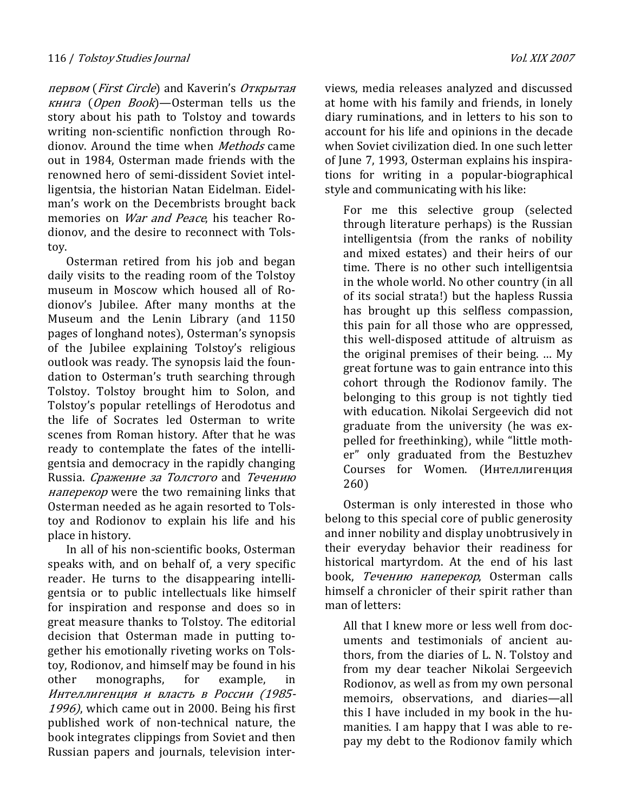первом (First Circle) and Kaverin's Открытая книга (Open Book)—Osterman tells us the story about his path to Tolstoy and towards writing non-scientific nonfiction through Rodionov. Around the time when Methods came out in 1984, Osterman made friends with the renowned hero of semi-dissident Soviet intelligentsia, the historian Natan Eidelman. Eidelman's work on the Decembrists brought back memories on *War and Peace*, his teacher Rodionov, and the desire to reconnect with Tolstoy.

Osterman retired from his job and began daily visits to the reading room of the Tolstoy museum in Moscow which housed all of Rodionov's Jubilee. After many months at the Museum and the Lenin Library (and 1150 pages of longhand notes), Osterman's synopsis of the Jubilee explaining Tolstoy's religious outlook was ready. The synopsis laid the foundation to Osterman's truth searching through Tolstoy. Tolstoy brought him to Solon, and Tolstoy's popular retellings of Herodotus and the life of Socrates led Osterman to write scenes from Roman history. After that he was ready to contemplate the fates of the intelligentsia and democracy in the rapidly changing Russia. Сражение за Толстого and Течению наперекор were the two remaining links that Osterman needed as he again resorted to Tolstoy and Rodionov to explain his life and his place in history.

In all of his non-scientific books, Osterman speaks with, and on behalf of, a very specific reader. He turns to the disappearing intelligentsia or to public intellectuals like himself for inspiration and response and does so in great measure thanks to Tolstoy. The editorial decision that Osterman made in putting together his emotionally riveting works on Tolstoy, Rodionov, and himself may be found in his other monographs, for example, in Интеллигенция и власть в России (1985- 1996), which came out in 2000. Being his first published work of non-technical nature, the book integrates clippings from Soviet and then Russian papers and journals, television interviews, media releases analyzed and discussed at home with his family and friends, in lonely diary ruminations, and in letters to his son to account for his life and opinions in the decade when Soviet civilization died. In one such letter of June 7, 1993, Osterman explains his inspirations for writing in a popular-biographical style and communicating with his like:

For me this selective group (selected through literature perhaps) is the Russian intelligentsia (from the ranks of nobility and mixed estates) and their heirs of our time. There is no other such intelligentsia in the whole world. No other country (in all of its social strata!) but the hapless Russia has brought up this selfless compassion, this pain for all those who are oppressed, this well-disposed attitude of altruism as the original premises of their being. … My great fortune was to gain entrance into this cohort through the Rodionov family. The belonging to this group is not tightly tied with education. Nikolai Sergeevich did not graduate from the university (he was expelled for freethinking), while "little mother" only graduated from the Bestuzhev Courses for Women. (Интеллигенция 260)

Osterman is only interested in those who belong to this special core of public generosity and inner nobility and display unobtrusively in their everyday behavior their readiness for historical martyrdom. At the end of his last book, Течению наперекор, Osterman calls himself a chronicler of their spirit rather than man of letters:

All that I knew more or less well from documents and testimonials of ancient authors, from the diaries of L. N. Tolstoy and from my dear teacher Nikolai Sergeevich Rodionov, as well as from my own personal memoirs, observations, and diaries—all this I have included in my book in the humanities. I am happy that I was able to repay my debt to the Rodionov family which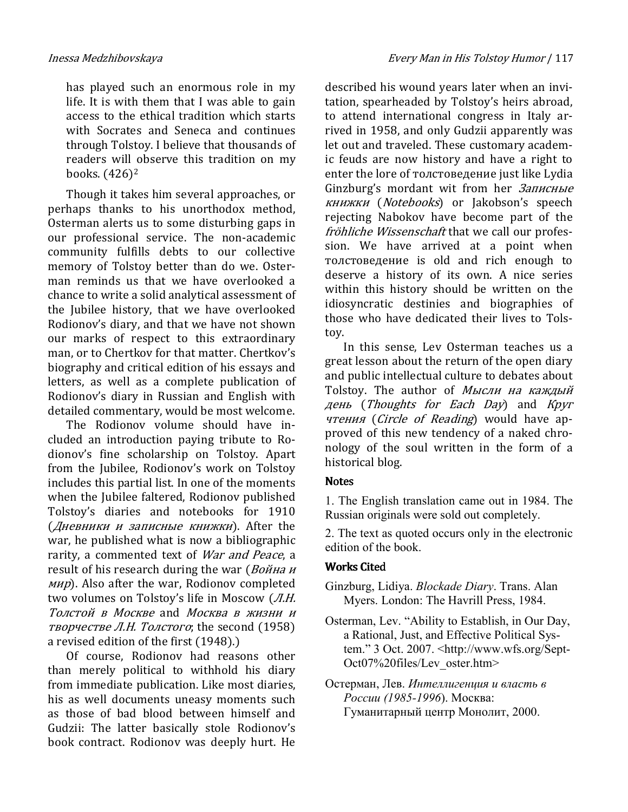has played such an enormous role in my life. It is with them that I was able to gain access to the ethical tradition which starts with Socrates and Seneca and continues through Tolstoy. I believe that thousands of readers will observe this tradition on my books. (426)<sup>2</sup>

Though it takes him several approaches, or perhaps thanks to his unorthodox method, Osterman alerts us to some disturbing gaps in our professional service. The non-academic community fulfills debts to our collective memory of Tolstoy better than do we. Osterman reminds us that we have overlooked a chance to write a solid analytical assessment of the Jubilee history, that we have overlooked Rodionov's diary, and that we have not shown our marks of respect to this extraordinary man, or to Chertkov for that matter. Chertkov's biography and critical edition of his essays and letters, as well as a complete publication of Rodionov's diary in Russian and English with detailed commentary, would be most welcome.

The Rodionov volume should have included an introduction paying tribute to Rodionov's fine scholarship on Tolstoy. Apart from the Jubilee, Rodionov's work on Tolstoy includes this partial list. In one of the moments when the Jubilee faltered, Rodionov published Tolstoy's diaries and notebooks for 1910 (Дневники и записные книжки). After the war, he published what is now a bibliographic rarity, a commented text of *War and Peace*, a result of his research during the war (Война и мир). Also after the war, Rodionov completed two volumes on Tolstoy's life in Moscow (Л.Н. Толстой в Москве and Москва в жизни и творчестве Л.Н. Толстого; the second  $(1958)$ a revised edition of the first (1948).)

Of course, Rodionov had reasons other than merely political to withhold his diary from immediate publication. Like most diaries, his as well documents uneasy moments such as those of bad blood between himself and Gudzii: The latter basically stole Rodionov's book contract. Rodionov was deeply hurt. He

described his wound years later when an invitation, spearheaded by Tolstoy's heirs abroad, to attend international congress in Italy arrived in 1958, and only Gudzii apparently was let out and traveled. These customary academic feuds are now history and have a right to enter the lore of толстоведение just like Lydia Ginzburg's mordant wit from her Записные книжки (Notebooks) or Jakobson's speech rejecting Nabokov have become part of the fröhliche Wissenschaft that we call our profession. We have arrived at a point when толстоведение is old and rich enough to deserve a history of its own. A nice series within this history should be written on the idiosyncratic destinies and biographies of those who have dedicated their lives to Tolstoy.

In this sense, Lev Osterman teaches us a great lesson about the return of the open diary and public intellectual culture to debates about Tolstoy. The author of Мысли на каждый день (Thoughts for Each Day) and Круг чтения (Circle of Reading) would have approved of this new tendency of a naked chronology of the soul written in the form of a historical blog.

## **Notes**

1. The English translation came out in 1984. The Russian originals were sold out completely.

2. The text as quoted occurs only in the electronic edition of the book.

## **Works Cited**

- Ginzburg, Lidiya. Blockade Diary. Trans. Alan Myers. London: The Havrill Press, 1984.
- Osterman, Lev. "Ability to Establish, in Our Day, a Rational, Just, and Effective Political System." 3 Oct. 2007. <http://www.wfs.org/Sept-Oct07%20files/Lev\_oster.htm>
- Остерман, Лев. Интеллигенция и власть в России (1985-1996). Москва: Гуманитарный центр Монолит, 2000.